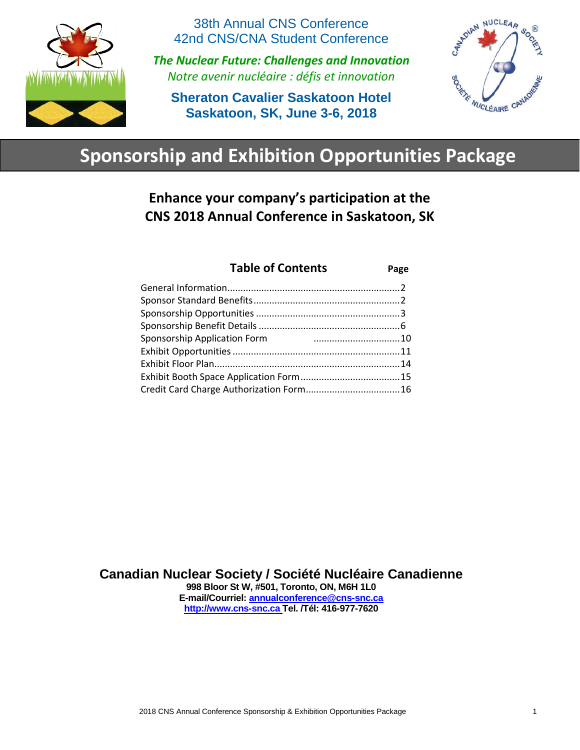

38th Annual CNS Conference 42nd CNS/CNA Student Conference

*The Nuclear Future: Challenges and Innovation Notre avenir nucléaire : défis et innovation*

**Sheraton Cavalier Saskatoon Hotel Saskatoon, SK, June 3-6, 2018**



# **Sponsorship and Exhibition Opportunities Package**

**Enhance your company's participation at the CNS 2018 Annual Conference in Saskatoon, SK**

| <b>Table of Contents</b>     | Page |
|------------------------------|------|
|                              |      |
|                              |      |
|                              |      |
|                              |      |
| Sponsorship Application Form |      |
|                              |      |
|                              |      |
|                              |      |
|                              |      |
|                              |      |

**Canadian Nuclear Society / Société Nucléaire Canadienne 998 Bloor St W, #501, Toronto, ON, M6H 1L0 E-mail/Courriel: [annualconference@cns-snc.ca](mailto:annualconference@cns-snc.ca) [http://www.cns-snc.ca](http://www.cns-snc.ca/) Tel. /Tél: 416-977-7620**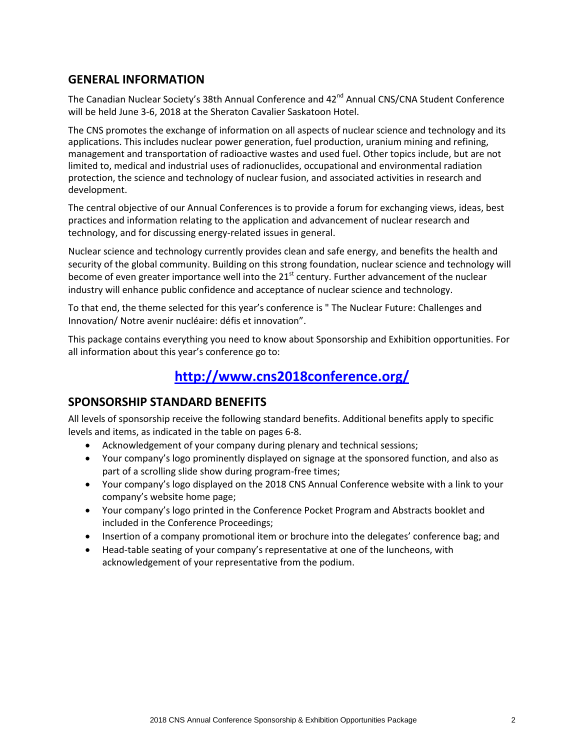### **GENERAL INFORMATION**

The Canadian Nuclear Society's 38th Annual Conference and 42<sup>nd</sup> Annual CNS/CNA Student Conference will be held June 3-6, 2018 at the Sheraton Cavalier Saskatoon Hotel.

The CNS promotes the exchange of information on all aspects of nuclear science and technology and its applications. This includes nuclear power generation, fuel production, uranium mining and refining, management and transportation of radioactive wastes and used fuel. Other topics include, but are not limited to, medical and industrial uses of radionuclides, occupational and environmental radiation protection, the science and technology of nuclear fusion, and associated activities in research and development.

The central objective of our Annual Conferences is to provide a forum for exchanging views, ideas, best practices and information relating to the application and advancement of nuclear research and technology, and for discussing energy‐related issues in general.

Nuclear science and technology currently provides clean and safe energy, and benefits the health and security of the global community. Building on this strong foundation, nuclear science and technology will become of even greater importance well into the 21<sup>st</sup> century. Further advancement of the nuclear industry will enhance public confidence and acceptance of nuclear science and technology.

To that end, the theme selected for this year's conference is " The Nuclear Future: Challenges and Innovation/ Notre avenir nucléaire: défis et innovation".

This package contains everything you need to know about Sponsorship and Exhibition opportunities. For all information about this year's conference go to:

# **<http://www.cns2018conference.org/>**

### **SPONSORSHIP STANDARD BENEFITS**

All levels of sponsorship receive the following standard benefits. Additional benefits apply to specific levels and items, as indicated in the table on pages 6-8.

- Acknowledgement of your company during plenary and technical sessions;
- Your company's logo prominently displayed on signage at the sponsored function, and also as part of a scrolling slide show during program-free times;
- Your company's logo displayed on the 2018 CNS Annual Conference website with a link to your company's website home page;
- Your company's logo printed in the Conference Pocket Program and Abstracts booklet and included in the Conference Proceedings;
- Insertion of a company promotional item or brochure into the delegates' conference bag; and
- Head-table seating of your company's representative at one of the luncheons, with acknowledgement of your representative from the podium.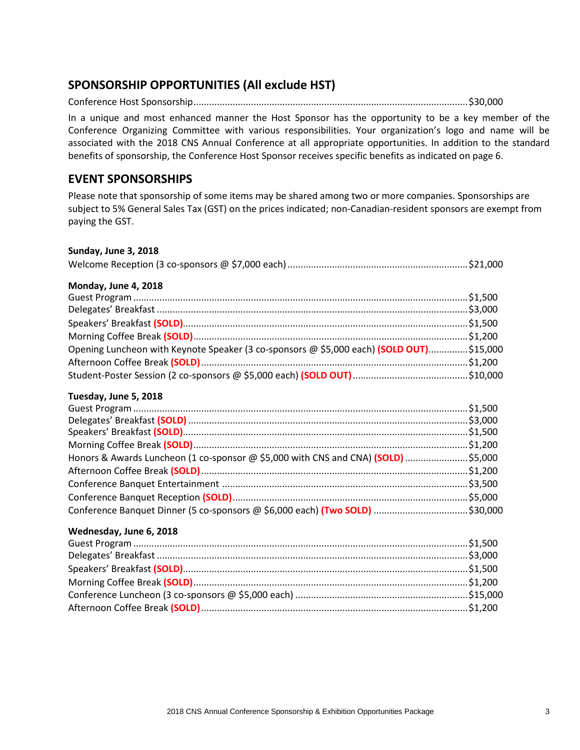### **SPONSORSHIP OPPORTUNITIES (All exclude HST)**

Conference Host Sponsorship.........................................................................................................\$30,000

In a unique and most enhanced manner the Host Sponsor has the opportunity to be a key member of the Conference Organizing Committee with various responsibilities. Your organization's logo and name will be associated with the 2018 CNS Annual Conference at all appropriate opportunities. In addition to the standard benefits of sponsorship, the Conference Host Sponsor receives specific benefits as indicated on page 6.

### **EVENT SPONSORSHIPS**

Please note that sponsorship of some items may be shared among two or more companies. Sponsorships are subject to 5% General Sales Tax (GST) on the prices indicated; non-Canadian-resident sponsors are exempt from paying the GST.

### **Sunday, June 3, 2018**

|--|--|

### **Monday, June 4, 2018**

| Opening Luncheon with Keynote Speaker (3 co-sponsors @ \$5,000 each) (SOLD OUT)\$15,000 |  |
|-----------------------------------------------------------------------------------------|--|
|                                                                                         |  |
|                                                                                         |  |

### **Tuesday, June 5, 2018**

| Honors & Awards Luncheon (1 co-sponsor @ \$5,000 with CNS and CNA) (SOLD) \$5,000 |  |
|-----------------------------------------------------------------------------------|--|
|                                                                                   |  |
|                                                                                   |  |
|                                                                                   |  |
| Conference Banquet Dinner (5 co-sponsors @ \$6,000 each) (Two SOLD) \$30,000      |  |

### **Wednesday, June 6, 2018**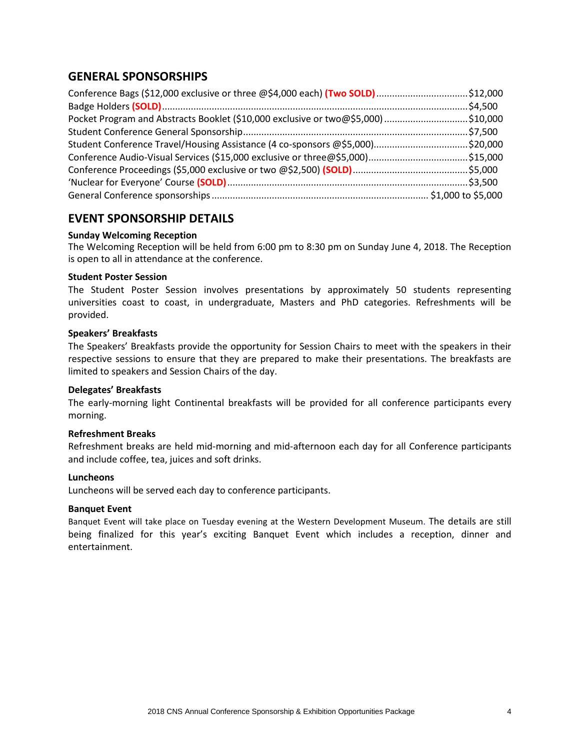### **GENERAL SPONSORSHIPS**

| Conference Bags (\$12,000 exclusive or three @\$4,000 each) (Two SOLD) \$12,000   |  |
|-----------------------------------------------------------------------------------|--|
|                                                                                   |  |
| Pocket Program and Abstracts Booklet (\$10,000 exclusive or two@\$5,000) \$10,000 |  |
|                                                                                   |  |
| Student Conference Travel/Housing Assistance (4 co-sponsors @\$5,000)\$20,000     |  |
|                                                                                   |  |
|                                                                                   |  |
|                                                                                   |  |
|                                                                                   |  |

### **EVENT SPONSORSHIP DETAILS**

### **Sunday Welcoming Reception**

The Welcoming Reception will be held from 6:00 pm to 8:30 pm on Sunday June 4, 2018. The Reception is open to all in attendance at the conference.

### **Student Poster Session**

The Student Poster Session involves presentations by approximately 50 students representing universities coast to coast, in undergraduate, Masters and PhD categories. Refreshments will be provided.

### **Speakers' Breakfasts**

The Speakers' Breakfasts provide the opportunity for Session Chairs to meet with the speakers in their respective sessions to ensure that they are prepared to make their presentations. The breakfasts are limited to speakers and Session Chairs of the day.

### **Delegates' Breakfasts**

The early-morning light Continental breakfasts will be provided for all conference participants every morning.

### **Refreshment Breaks**

Refreshment breaks are held mid-morning and mid-afternoon each day for all Conference participants and include coffee, tea, juices and soft drinks.

#### **Luncheons**

Luncheons will be served each day to conference participants.

#### **Banquet Event**

Banquet Event will take place on Tuesday evening at the Western Development Museum. The details are still being finalized for this year's exciting Banquet Event which includes a reception, dinner and entertainment.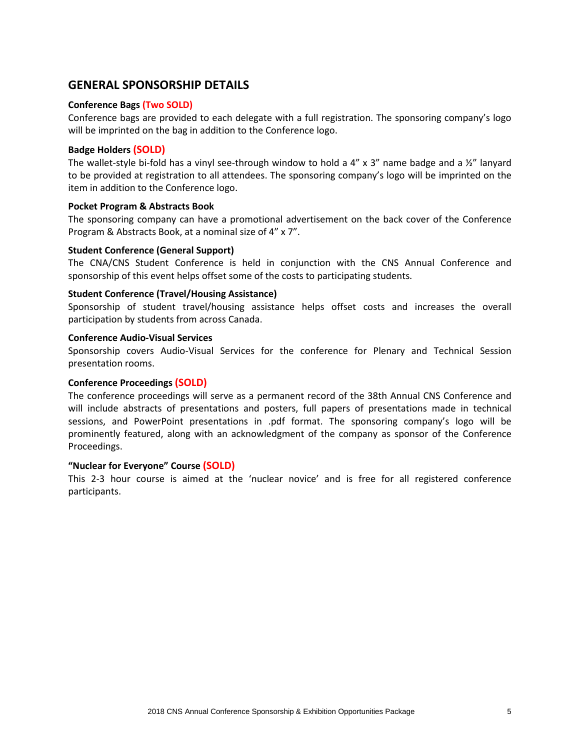### **GENERAL SPONSORSHIP DETAILS**

### **Conference Bags (Two SOLD)**

Conference bags are provided to each delegate with a full registration. The sponsoring company's logo will be imprinted on the bag in addition to the Conference logo.

### **Badge Holders (SOLD)**

The wallet-style bi-fold has a vinyl see-through window to hold a 4" x 3" name badge and a  $\frac{1}{2}$ " lanyard to be provided at registration to all attendees. The sponsoring company's logo will be imprinted on the item in addition to the Conference logo.

#### **Pocket Program & Abstracts Book**

The sponsoring company can have a promotional advertisement on the back cover of the Conference Program & Abstracts Book, at a nominal size of 4" x 7".

### **Student Conference (General Support)**

The CNA/CNS Student Conference is held in conjunction with the CNS Annual Conference and sponsorship of this event helps offset some of the costs to participating students.

### **Student Conference (Travel/Housing Assistance)**

Sponsorship of student travel/housing assistance helps offset costs and increases the overall participation by students from across Canada.

#### **Conference Audio-Visual Services**

Sponsorship covers Audio-Visual Services for the conference for Plenary and Technical Session presentation rooms.

#### **Conference Proceedings (SOLD)**

The conference proceedings will serve as a permanent record of the 38th Annual CNS Conference and will include abstracts of presentations and posters, full papers of presentations made in technical sessions, and PowerPoint presentations in .pdf format. The sponsoring company's logo will be prominently featured, along with an acknowledgment of the company as sponsor of the Conference Proceedings.

#### **"Nuclear for Everyone" Course (SOLD)**

This 2-3 hour course is aimed at the 'nuclear novice' and is free for all registered conference participants.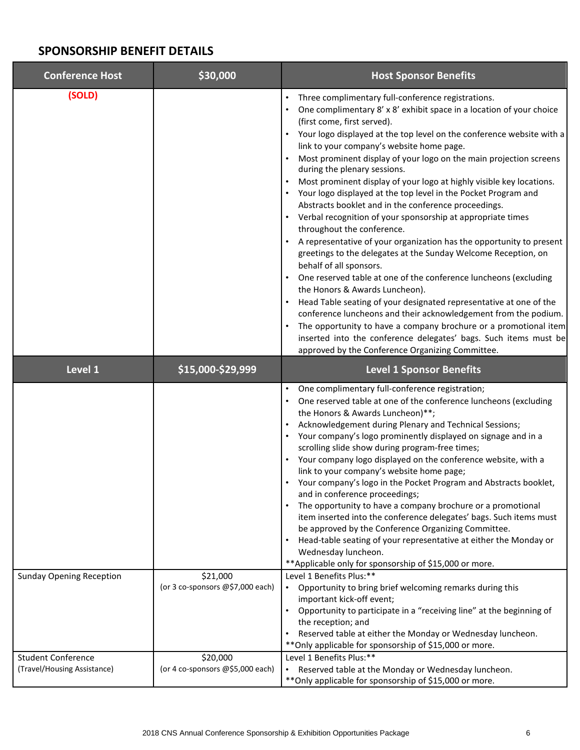### **SPONSORSHIP BENEFIT DETAILS**

| <b>Conference Host</b>                                   | \$30,000                                     | <b>Host Sponsor Benefits</b>                                                                                                                                                                                                                                                                                                                                                                                                                                                                                                                                                                                                                                                                                                                                                                                                                                                                                                                                                                                                                                                                                                                                                                                                                                                                                 |
|----------------------------------------------------------|----------------------------------------------|--------------------------------------------------------------------------------------------------------------------------------------------------------------------------------------------------------------------------------------------------------------------------------------------------------------------------------------------------------------------------------------------------------------------------------------------------------------------------------------------------------------------------------------------------------------------------------------------------------------------------------------------------------------------------------------------------------------------------------------------------------------------------------------------------------------------------------------------------------------------------------------------------------------------------------------------------------------------------------------------------------------------------------------------------------------------------------------------------------------------------------------------------------------------------------------------------------------------------------------------------------------------------------------------------------------|
| (SOLD)                                                   |                                              | Three complimentary full-conference registrations.<br>One complimentary 8' x 8' exhibit space in a location of your choice<br>(first come, first served).<br>• Your logo displayed at the top level on the conference website with a<br>link to your company's website home page.<br>Most prominent display of your logo on the main projection screens<br>during the plenary sessions.<br>Most prominent display of your logo at highly visible key locations.<br>• Your logo displayed at the top level in the Pocket Program and<br>Abstracts booklet and in the conference proceedings.<br>• Verbal recognition of your sponsorship at appropriate times<br>throughout the conference.<br>A representative of your organization has the opportunity to present<br>greetings to the delegates at the Sunday Welcome Reception, on<br>behalf of all sponsors.<br>• One reserved table at one of the conference luncheons (excluding<br>the Honors & Awards Luncheon).<br>Head Table seating of your designated representative at one of the<br>conference luncheons and their acknowledgement from the podium.<br>The opportunity to have a company brochure or a promotional item<br>inserted into the conference delegates' bags. Such items must be<br>approved by the Conference Organizing Committee. |
| Level 1                                                  | \$15,000-\$29,999                            | <b>Level 1 Sponsor Benefits</b>                                                                                                                                                                                                                                                                                                                                                                                                                                                                                                                                                                                                                                                                                                                                                                                                                                                                                                                                                                                                                                                                                                                                                                                                                                                                              |
|                                                          |                                              | One complimentary full-conference registration;<br>One reserved table at one of the conference luncheons (excluding<br>the Honors & Awards Luncheon)**;<br>Acknowledgement during Plenary and Technical Sessions;<br>Your company's logo prominently displayed on signage and in a<br>scrolling slide show during program-free times;<br>• Your company logo displayed on the conference website, with a<br>link to your company's website home page;<br>• Your company's logo in the Pocket Program and Abstracts booklet,<br>and in conference proceedings;<br>The opportunity to have a company brochure or a promotional<br>item inserted into the conference delegates' bags. Such items must<br>be approved by the Conference Organizing Committee.<br>Head-table seating of your representative at either the Monday or<br>Wednesday luncheon.<br>** Applicable only for sponsorship of \$15,000 or more.                                                                                                                                                                                                                                                                                                                                                                                             |
| <b>Sunday Opening Reception</b>                          | \$21,000<br>(or 3 co-sponsors @\$7,000 each) | Level 1 Benefits Plus:**<br>• Opportunity to bring brief welcoming remarks during this<br>important kick-off event;<br>Opportunity to participate in a "receiving line" at the beginning of<br>$\bullet$<br>the reception; and<br>Reserved table at either the Monday or Wednesday luncheon.<br>٠<br>** Only applicable for sponsorship of \$15,000 or more.                                                                                                                                                                                                                                                                                                                                                                                                                                                                                                                                                                                                                                                                                                                                                                                                                                                                                                                                                 |
| <b>Student Conference</b><br>(Travel/Housing Assistance) | \$20,000<br>(or 4 co-sponsors @\$5,000 each) | Level 1 Benefits Plus:**<br>• Reserved table at the Monday or Wednesday luncheon.<br>** Only applicable for sponsorship of \$15,000 or more.                                                                                                                                                                                                                                                                                                                                                                                                                                                                                                                                                                                                                                                                                                                                                                                                                                                                                                                                                                                                                                                                                                                                                                 |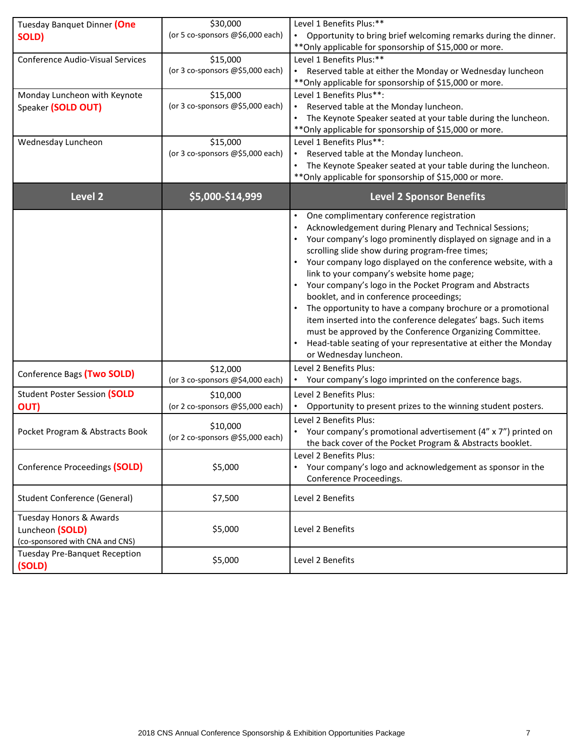| Tuesday Banquet Dinner (One<br>SOLD)    | \$30,000<br>(or 5 co-sponsors @\$6,000 each) | Level 1 Benefits Plus:**<br>• Opportunity to bring brief welcoming remarks during the dinner.                     |
|-----------------------------------------|----------------------------------------------|-------------------------------------------------------------------------------------------------------------------|
|                                         |                                              | ** Only applicable for sponsorship of \$15,000 or more.                                                           |
| <b>Conference Audio-Visual Services</b> | \$15,000                                     | Level 1 Benefits Plus:**                                                                                          |
|                                         | (or 3 co-sponsors @\$5,000 each)             | Reserved table at either the Monday or Wednesday luncheon                                                         |
|                                         |                                              | ** Only applicable for sponsorship of \$15,000 or more.                                                           |
| Monday Luncheon with Keynote            | \$15,000<br>(or 3 co-sponsors @\$5,000 each) | Level 1 Benefits Plus**:                                                                                          |
| Speaker (SOLD OUT)                      |                                              | Reserved table at the Monday luncheon.<br>The Keynote Speaker seated at your table during the luncheon.           |
|                                         |                                              | ** Only applicable for sponsorship of \$15,000 or more.                                                           |
| Wednesday Luncheon                      | \$15,000                                     | Level 1 Benefits Plus**:                                                                                          |
|                                         | (or 3 co-sponsors @\$5,000 each)             | • Reserved table at the Monday luncheon.                                                                          |
|                                         |                                              | The Keynote Speaker seated at your table during the luncheon.                                                     |
|                                         |                                              | ** Only applicable for sponsorship of \$15,000 or more.                                                           |
| <b>Level 2</b>                          | \$5,000-\$14,999                             | <b>Level 2 Sponsor Benefits</b>                                                                                   |
|                                         |                                              | One complimentary conference registration<br>$\bullet$                                                            |
|                                         |                                              | Acknowledgement during Plenary and Technical Sessions;                                                            |
|                                         |                                              | Your company's logo prominently displayed on signage and in a                                                     |
|                                         |                                              | scrolling slide show during program-free times;                                                                   |
|                                         |                                              | • Your company logo displayed on the conference website, with a                                                   |
|                                         |                                              | link to your company's website home page;<br>Your company's logo in the Pocket Program and Abstracts<br>$\bullet$ |
|                                         |                                              | booklet, and in conference proceedings;                                                                           |
|                                         |                                              | The opportunity to have a company brochure or a promotional<br>$\bullet$                                          |
|                                         |                                              | item inserted into the conference delegates' bags. Such items                                                     |
|                                         |                                              | must be approved by the Conference Organizing Committee.                                                          |
|                                         |                                              | Head-table seating of your representative at either the Monday                                                    |
|                                         |                                              | or Wednesday luncheon.                                                                                            |
| Conference Bags (Two SOLD)              | \$12,000                                     | Level 2 Benefits Plus:                                                                                            |
|                                         | (or 3 co-sponsors @\$4,000 each)             | • Your company's logo imprinted on the conference bags.                                                           |
| <b>Student Poster Session (SOLD</b>     | \$10,000                                     | Level 2 Benefits Plus:                                                                                            |
| OUT)                                    | (or 2 co-sponsors @\$5,000 each)             | • Opportunity to present prizes to the winning student posters.                                                   |
|                                         | \$10,000                                     | Level 2 Benefits Plus:                                                                                            |
| Pocket Program & Abstracts Book         | (or 2 co-sponsors @\$5,000 each)             | • Your company's promotional advertisement (4" x 7") printed on                                                   |
|                                         |                                              | the back cover of the Pocket Program & Abstracts booklet.                                                         |
|                                         | \$5,000                                      | Level 2 Benefits Plus:<br>• Your company's logo and acknowledgement as sponsor in the                             |
| Conference Proceedings (SOLD)           |                                              | Conference Proceedings.                                                                                           |
|                                         |                                              |                                                                                                                   |
| <b>Student Conference (General)</b>     | \$7,500                                      | Level 2 Benefits                                                                                                  |
| Tuesday Honors & Awards                 |                                              |                                                                                                                   |
| Luncheon (SOLD)                         | \$5,000                                      | Level 2 Benefits                                                                                                  |
| (co-sponsored with CNA and CNS)         |                                              |                                                                                                                   |
| <b>Tuesday Pre-Banquet Reception</b>    |                                              |                                                                                                                   |
| (SOLD)                                  | \$5,000                                      | Level 2 Benefits                                                                                                  |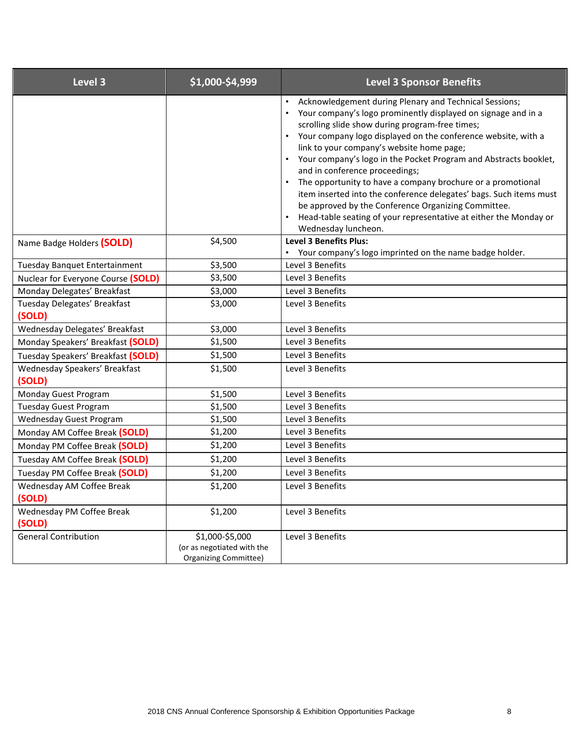| Level 3                                 | \$1,000-\$4,999                                                               | <b>Level 3 Sponsor Benefits</b>                                                                                                                                                                                                                                                                                                                                                                                                                                                                                                                                                                                                                                                                     |
|-----------------------------------------|-------------------------------------------------------------------------------|-----------------------------------------------------------------------------------------------------------------------------------------------------------------------------------------------------------------------------------------------------------------------------------------------------------------------------------------------------------------------------------------------------------------------------------------------------------------------------------------------------------------------------------------------------------------------------------------------------------------------------------------------------------------------------------------------------|
|                                         |                                                                               | Acknowledgement during Plenary and Technical Sessions;<br>Your company's logo prominently displayed on signage and in a<br>$\bullet$<br>scrolling slide show during program-free times;<br>Your company logo displayed on the conference website, with a<br>link to your company's website home page;<br>Your company's logo in the Pocket Program and Abstracts booklet,<br>and in conference proceedings;<br>The opportunity to have a company brochure or a promotional<br>item inserted into the conference delegates' bags. Such items must<br>be approved by the Conference Organizing Committee.<br>Head-table seating of your representative at either the Monday or<br>Wednesday luncheon. |
| Name Badge Holders (SOLD)               | \$4,500                                                                       | <b>Level 3 Benefits Plus:</b><br>• Your company's logo imprinted on the name badge holder.                                                                                                                                                                                                                                                                                                                                                                                                                                                                                                                                                                                                          |
| Tuesday Banquet Entertainment           | \$3,500                                                                       | Level 3 Benefits                                                                                                                                                                                                                                                                                                                                                                                                                                                                                                                                                                                                                                                                                    |
| Nuclear for Everyone Course (SOLD)      | \$3,500                                                                       | Level 3 Benefits                                                                                                                                                                                                                                                                                                                                                                                                                                                                                                                                                                                                                                                                                    |
| Monday Delegates' Breakfast             | \$3,000                                                                       | Level 3 Benefits                                                                                                                                                                                                                                                                                                                                                                                                                                                                                                                                                                                                                                                                                    |
| Tuesday Delegates' Breakfast<br>(SOLD)  | \$3,000                                                                       | Level 3 Benefits                                                                                                                                                                                                                                                                                                                                                                                                                                                                                                                                                                                                                                                                                    |
| Wednesday Delegates' Breakfast          | \$3,000                                                                       | Level 3 Benefits                                                                                                                                                                                                                                                                                                                                                                                                                                                                                                                                                                                                                                                                                    |
| Monday Speakers' Breakfast (SOLD)       | \$1,500                                                                       | Level 3 Benefits                                                                                                                                                                                                                                                                                                                                                                                                                                                                                                                                                                                                                                                                                    |
| Tuesday Speakers' Breakfast (SOLD)      | \$1,500                                                                       | Level 3 Benefits                                                                                                                                                                                                                                                                                                                                                                                                                                                                                                                                                                                                                                                                                    |
| Wednesday Speakers' Breakfast<br>(SOLD) | \$1,500                                                                       | Level 3 Benefits                                                                                                                                                                                                                                                                                                                                                                                                                                                                                                                                                                                                                                                                                    |
| Monday Guest Program                    | \$1,500                                                                       | Level 3 Benefits                                                                                                                                                                                                                                                                                                                                                                                                                                                                                                                                                                                                                                                                                    |
| <b>Tuesday Guest Program</b>            | \$1,500                                                                       | Level 3 Benefits                                                                                                                                                                                                                                                                                                                                                                                                                                                                                                                                                                                                                                                                                    |
| <b>Wednesday Guest Program</b>          | \$1,500                                                                       | Level 3 Benefits                                                                                                                                                                                                                                                                                                                                                                                                                                                                                                                                                                                                                                                                                    |
| Monday AM Coffee Break (SOLD)           | \$1,200                                                                       | Level 3 Benefits                                                                                                                                                                                                                                                                                                                                                                                                                                                                                                                                                                                                                                                                                    |
| Monday PM Coffee Break (SOLD)           | \$1,200                                                                       | Level 3 Benefits                                                                                                                                                                                                                                                                                                                                                                                                                                                                                                                                                                                                                                                                                    |
| Tuesday AM Coffee Break (SOLD)          | \$1,200                                                                       | Level 3 Benefits                                                                                                                                                                                                                                                                                                                                                                                                                                                                                                                                                                                                                                                                                    |
| Tuesday PM Coffee Break (SOLD)          | \$1,200                                                                       | Level 3 Benefits                                                                                                                                                                                                                                                                                                                                                                                                                                                                                                                                                                                                                                                                                    |
| Wednesday AM Coffee Break<br>(SOLD)     | \$1,200                                                                       | Level 3 Benefits                                                                                                                                                                                                                                                                                                                                                                                                                                                                                                                                                                                                                                                                                    |
| Wednesday PM Coffee Break<br>(SOLD)     | \$1,200                                                                       | Level 3 Benefits                                                                                                                                                                                                                                                                                                                                                                                                                                                                                                                                                                                                                                                                                    |
| <b>General Contribution</b>             | \$1,000-\$5,000<br>(or as negotiated with the<br><b>Organizing Committee)</b> | Level 3 Benefits                                                                                                                                                                                                                                                                                                                                                                                                                                                                                                                                                                                                                                                                                    |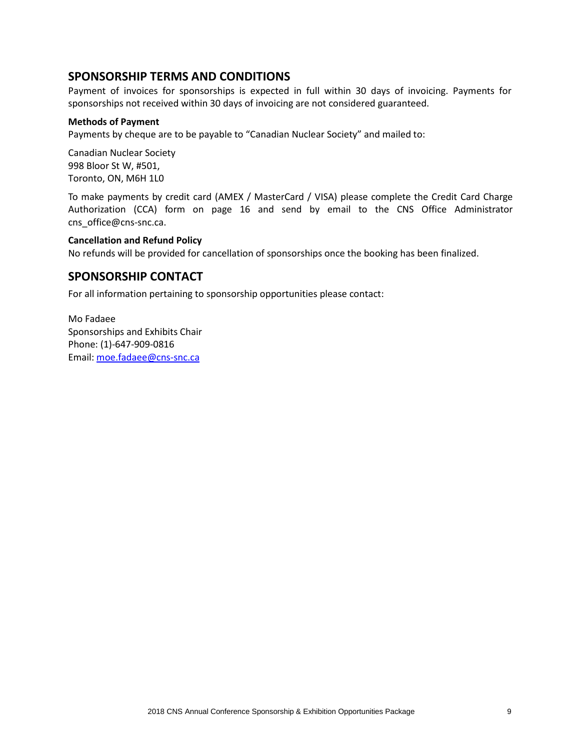### **SPONSORSHIP TERMS AND CONDITIONS**

Payment of invoices for sponsorships is expected in full within 30 days of invoicing. Payments for sponsorships not received within 30 days of invoicing are not considered guaranteed.

### **Methods of Payment**

Payments by cheque are to be payable to "Canadian Nuclear Society" and mailed to:

Canadian Nuclear Society 998 Bloor St W, #501, Toronto, ON, M6H 1L0

To make payments by credit card (AMEX / MasterCard / VISA) please complete the Credit Card Charge Authorization (CCA) form on page 16 and send by email to the CNS Office Administrator [cns\\_office@cns-snc.ca.](mailto:cns_office@cns-snc.ca)

### **Cancellation and Refund Policy**

No refunds will be provided for cancellation of sponsorships once the booking has been finalized.

### **SPONSORSHIP CONTACT**

For all information pertaining to sponsorship opportunities please contact:

Mo Fadaee Sponsorships and Exhibits Chair Phone: (1)-647-909-0816 Email: [moe.fadaee@cns-snc.ca](mailto:moe.fadaee@cns-snc.ca)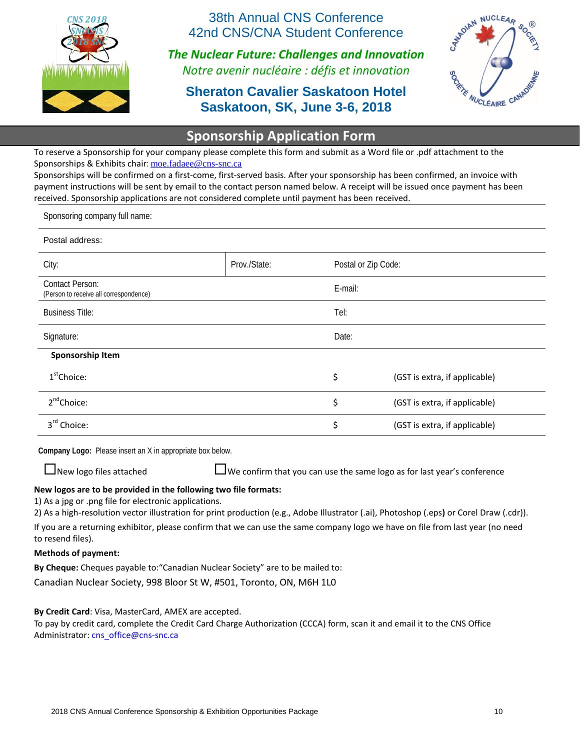

38th Annual CNS Conference 42nd CNS/CNA Student Conference

*The Nuclear Future: Challenges and Innovation Notre avenir nucléaire : défis et innovation*

# **Sheraton Cavalier Saskatoon Hotel Saskatoon, SK, June 3-6, 2018**



# **Sponsorship Application Form**

To reserve a Sponsorship for your company please complete this form and submit as a Word file or .pdf attachment to the Sponsorships & Exhibits chair: [moe.fadaee@cns-snc.ca](mailto:moe.fadaee@cns-snc.ca)

Sponsorships will be confirmed on a first-come, first-served basis. After your sponsorship has been confirmed, an invoice with payment instructions will be sent by email to the contact person named below. A receipt will be issued once payment has been received. Sponsorship applications are not considered complete until payment has been received.

Sponsoring company full name:

#### Postal address:

| City:                                                            | Prov./State: | Postal or Zip Code: |                               |
|------------------------------------------------------------------|--------------|---------------------|-------------------------------|
| <b>Contact Person:</b><br>(Person to receive all correspondence) |              | E-mail:             |                               |
| <b>Business Title:</b>                                           |              | Tel:                |                               |
| Signature:                                                       |              | Date:               |                               |
| Sponsorship Item                                                 |              |                     |                               |
| $1st$ Choice:                                                    |              | \$                  | (GST is extra, if applicable) |
| $2^{nd}$ Choice:                                                 |              | \$                  | (GST is extra, if applicable) |
| 3rd Choice:                                                      |              | \$                  | (GST is extra, if applicable) |

**Company Logo:** Please insert an X in appropriate box below.

 $\Box$  New logo files attached  $\Box$  We confirm that you can use the same logo as for last year's conference

### **New logos are to be provided in the following two file formats:**

1) As a jpg or .png file for electronic applications.

2) As a high-resolution vector illustration for print production (e.g., Adobe Illustrator (.ai), Photoshop (.eps**)** or Corel Draw (.cdr)).

If you are a returning exhibitor, please confirm that we can use the same company logo we have on file from last year (no need to resend files).

#### **Methods of payment:**

**By Cheque:** Cheques payable to:"Canadian Nuclear Society" are to be mailed to:

Canadian Nuclear Society, 998 Bloor St W, #501, Toronto, ON, M6H 1L0

**By Credit Card**: Visa, MasterCard, AMEX are accepted.

To pay by credit card, complete the Credit Card Charge Authorization (CCCA) form, scan it and email it to the CNS Office Administrator: [cns\\_office@cns-snc.ca](mailto:cns_office@cns-snc.ca)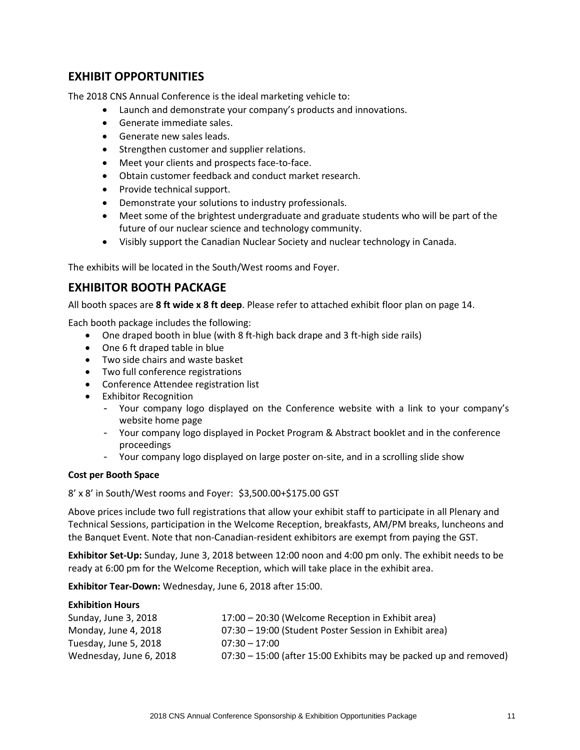### **EXHIBIT OPPORTUNITIES**

The 2018 CNS Annual Conference is the ideal marketing vehicle to:

- Launch and demonstrate your company's products and innovations.
- Generate immediate sales.
- Generate new sales leads.
- Strengthen customer and supplier relations.
- Meet your clients and prospects face-to-face.
- Obtain customer feedback and conduct market research.
- Provide technical support.
- Demonstrate your solutions to industry professionals.
- Meet some of the brightest undergraduate and graduate students who will be part of the future of our nuclear science and technology community.
- Visibly support the Canadian Nuclear Society and nuclear technology in Canada.

The exhibits will be located in the South/West rooms and Foyer.

### **EXHIBITOR BOOTH PACKAGE**

All booth spaces are **8 ft wide x 8 ft deep**. Please refer to attached exhibit floor plan on page 14.

Each booth package includes the following:

- One draped booth in blue (with 8 ft-high back drape and 3 ft-high side rails)
- One 6 ft draped table in blue
- Two side chairs and waste basket
- Two full conference registrations
- Conference Attendee registration list
- Exhibitor Recognition
	- Your company logo displayed on the Conference website with a link to your company's website home page
	- Your company logo displayed in Pocket Program & Abstract booklet and in the conference proceedings
	- Your company logo displayed on large poster on-site, and in a scrolling slide show

### **Cost per Booth Space**

8' x 8' in South/West rooms and Foyer: \$3,500.00+\$175.00 GST

Above prices include two full registrations that allow your exhibit staff to participate in all Plenary and Technical Sessions, participation in the Welcome Reception, breakfasts, AM/PM breaks, luncheons and the Banquet Event. Note that non-Canadian-resident exhibitors are exempt from paying the GST.

**Exhibitor Set-Up:** Sunday, June 3, 2018 between 12:00 noon and 4:00 pm only. The exhibit needs to be ready at 6:00 pm for the Welcome Reception, which will take place in the exhibit area.

**Exhibitor Tear-Down:** Wednesday, June 6, 2018 after 15:00.

### **Exhibition Hours**

| Sunday, June 3, 2018    | 17:00 - 20:30 (Welcome Reception in Exhibit area)                 |
|-------------------------|-------------------------------------------------------------------|
| Monday, June 4, 2018    | 07:30 - 19:00 (Student Poster Session in Exhibit area)            |
| Tuesday, June 5, 2018   | $07:30 - 17:00$                                                   |
| Wednesday, June 6, 2018 | 07:30 – 15:00 (after 15:00 Exhibits may be packed up and removed) |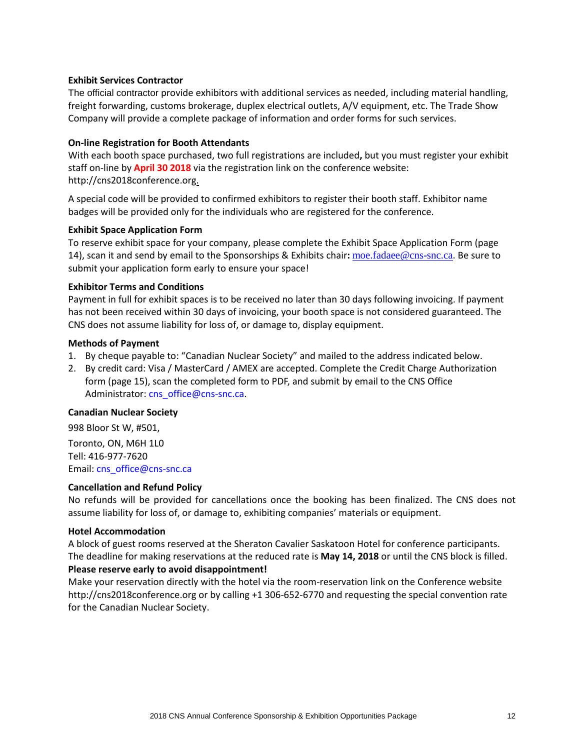### **Exhibit Services Contractor**

The official contractor provide exhibitors with additional services as needed, including material handling, freight forwarding, customs brokerage, duplex electrical outlets, A/V equipment, etc. The Trade Show Company will provide a complete package of information and order forms for such services.

### **On-line Registration for Booth Attendants**

With each booth space purchased, two full registrations are included**,** but you must register your exhibit staff on-line by **April 30 2018** via the registration link on the conference website: [http://cns2018conference.org.](http://cns2017conference.org/)

A special code will be provided to confirmed exhibitors to register their booth staff. Exhibitor name badges will be provided only for the individuals who are registered for the conference.

### **Exhibit Space Application Form**

To reserve exhibit space for your company, please complete the Exhibit Space Application Form (page 14), scan it and send by email to the Sponsorships & Exhibits chair**:** [moe.fadaee@cns-snc.ca](mailto:moe.fadaee@cns-snc.ca). Be sure to submit your application form early to ensure your space!

### **Exhibitor Terms and Conditions**

Payment in full for exhibit spaces is to be received no later than 30 days following invoicing. If payment has not been received within 30 days of invoicing, your booth space is not considered guaranteed. The CNS does not assume liability for loss of, or damage to, display equipment.

#### **Methods of Payment**

- 1. By cheque payable to: "Canadian Nuclear Society" and mailed to the address indicated below.
- 2. By credit card: Visa / MasterCard / AMEX are accepted. Complete the Credit Charge Authorization form (page 15), scan the completed form to PDF, and submit by email to the CNS Office Administrator: [cns\\_office@cns-snc.ca.](mailto:cns_office@cns-snc.ca)

#### **Canadian Nuclear Society**

998 Bloor St W, #501, Toronto, ON, M6H 1L0 Tell: 416-977-7620

Email: [cns\\_office@cns-snc.ca](mailto:cns_office@cns-snc.ca)

### **Cancellation and Refund Policy**

No refunds will be provided for cancellations once the booking has been finalized. The CNS does not assume liability for loss of, or damage to, exhibiting companies' materials or equipment.

#### **Hotel Accommodation**

A block of guest rooms reserved at the Sheraton Cavalier Saskatoon Hotel for conference participants. The deadline for making reservations at the reduced rate is **May 14, 2018** or until the CNS block is filled.

### **Please reserve early to avoid disappointment!**

Make your reservation directly with the hotel via the room-reservation link on the Conference website http://cns2018conference.org or by calling +1 306-652-6770 and requesting the special convention rate for the Canadian Nuclear Society.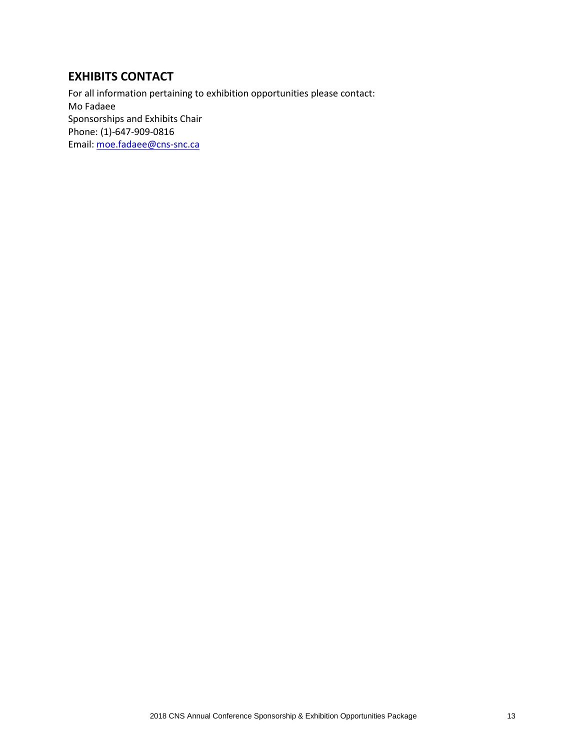# **EXHIBITS CONTACT**

For all information pertaining to exhibition opportunities please contact: Mo Fadaee Sponsorships and Exhibits Chair Phone: (1)-647-909-0816 Email: [moe.fadaee@cns-snc.ca](mailto:moe.fadaee@cns-snc.ca)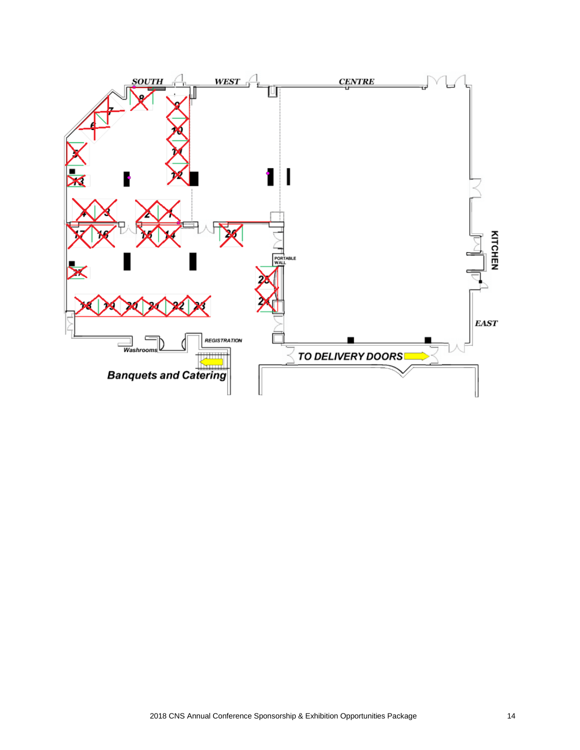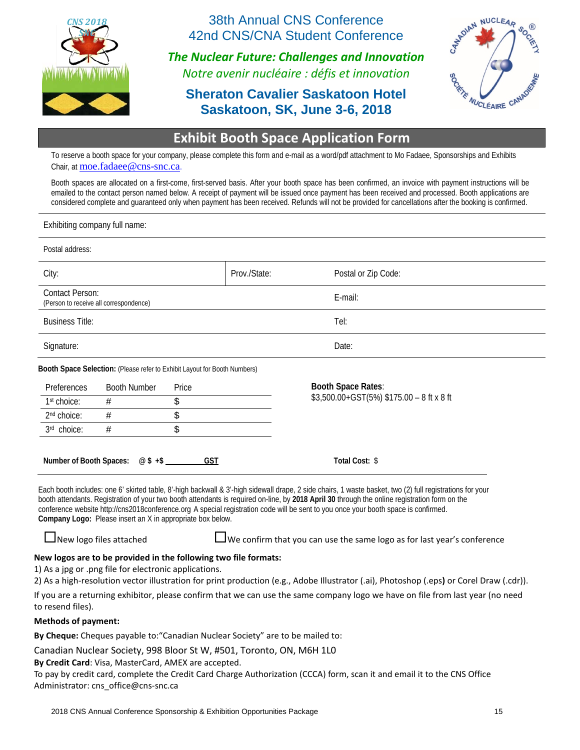

38th Annual CNS Conference 42nd CNS/CNA Student Conference

*The Nuclear Future: Challenges and Innovation Notre avenir nucléaire : défis et innovation*

# **Sheraton Cavalier Saskatoon Hotel Saskatoon, SK, June 3-6, 2018**



# **Exhibit Booth Space Application Form**

To reserve a booth space for your company, please complete this form and e-mail as a word/pdf attachment to Mo Fadaee, Sponsorships and Exhibits Chair, at [moe.fadaee@cns-snc.ca](mailto:moe.fadaee@cns-snc.ca).

Booth spaces are allocated on a first-come, first-served basis. After your booth space has been confirmed, an invoice with payment instructions will be emailed to the contact person named below. A receipt of payment will be issued once payment has been received and processed. Booth applications are considered complete and guaranteed only when payment has been received. Refunds will not be provided for cancellations after the booking is confirmed.

| Exhibiting company full name: |  |
|-------------------------------|--|
|                               |  |

| Postal address:            |                                                                                                                          |            |              |                                                                                                                                                                                                                                                                                                                                                                                                                                                                    |  |  |  |
|----------------------------|--------------------------------------------------------------------------------------------------------------------------|------------|--------------|--------------------------------------------------------------------------------------------------------------------------------------------------------------------------------------------------------------------------------------------------------------------------------------------------------------------------------------------------------------------------------------------------------------------------------------------------------------------|--|--|--|
| City:                      |                                                                                                                          |            | Prov./State: | Postal or Zip Code:                                                                                                                                                                                                                                                                                                                                                                                                                                                |  |  |  |
| <b>Contact Person:</b>     | (Person to receive all correspondence)                                                                                   |            |              | E-mail:                                                                                                                                                                                                                                                                                                                                                                                                                                                            |  |  |  |
| <b>Business Title:</b>     |                                                                                                                          |            |              | Tel:                                                                                                                                                                                                                                                                                                                                                                                                                                                               |  |  |  |
| Signature:                 |                                                                                                                          |            |              | Date:                                                                                                                                                                                                                                                                                                                                                                                                                                                              |  |  |  |
|                            | Booth Space Selection: (Please refer to Exhibit Layout for Booth Numbers)                                                |            |              |                                                                                                                                                                                                                                                                                                                                                                                                                                                                    |  |  |  |
| Preferences                | <b>Booth Number</b>                                                                                                      | Price      |              | <b>Booth Space Rates:</b>                                                                                                                                                                                                                                                                                                                                                                                                                                          |  |  |  |
| 1 <sup>st</sup> choice:    | #                                                                                                                        | \$         |              | \$3,500.00+GST(5%) \$175.00 - 8 ft x 8 ft                                                                                                                                                                                                                                                                                                                                                                                                                          |  |  |  |
| 2 <sup>nd</sup> choice:    | #                                                                                                                        | \$         |              |                                                                                                                                                                                                                                                                                                                                                                                                                                                                    |  |  |  |
| 3rd choice:                | #                                                                                                                        | \$         |              |                                                                                                                                                                                                                                                                                                                                                                                                                                                                    |  |  |  |
|                            | Number of Booth Spaces: @\$ +\$<br>Company Logo: Please insert an X in appropriate box below.                            | <b>GST</b> |              | Total Cost: \$<br>Each booth includes: one 6' skirted table, 8'-high backwall & 3'-high sidewall drape, 2 side chairs, 1 waste basket, two (2) full registrations for your<br>booth attendants. Registration of your two booth attendants is required on-line, by 2018 April 30 through the online registration form on the<br>conference website http://cns2018conference.org A special registration code will be sent to you once your booth space is confirmed. |  |  |  |
|                            | $\Box$ New logo files attached                                                                                           |            |              | UWe confirm that you can use the same logo as for last year's conference                                                                                                                                                                                                                                                                                                                                                                                           |  |  |  |
| to resend files).          | New logos are to be provided in the following two file formats:<br>1) As a jpg or .png file for electronic applications. |            |              | 2) As a high-resolution vector illustration for print production (e.g., Adobe Illustrator (.ai), Photoshop (.eps) or Corel Draw (.cdr)).<br>If you are a returning exhibitor, please confirm that we can use the same company logo we have on file from last year (no need                                                                                                                                                                                         |  |  |  |
| <b>Methods of payment:</b> |                                                                                                                          |            |              |                                                                                                                                                                                                                                                                                                                                                                                                                                                                    |  |  |  |
|                            |                                                                                                                          |            |              |                                                                                                                                                                                                                                                                                                                                                                                                                                                                    |  |  |  |

**By Cheque:** Cheques payable to:"Canadian Nuclear Society" are to be mailed to:

Canadian Nuclear Society, 998 Bloor St W, #501, Toronto, ON, M6H 1L0

**By Credit Card**: Visa, MasterCard, AMEX are accepted.

To pay by credit card, complete the Credit Card Charge Authorization (CCCA) form, scan it and email it to the CNS Office Administrator: [cns\\_office@cns-snc.ca](mailto:cns_office@cns-snc.ca)